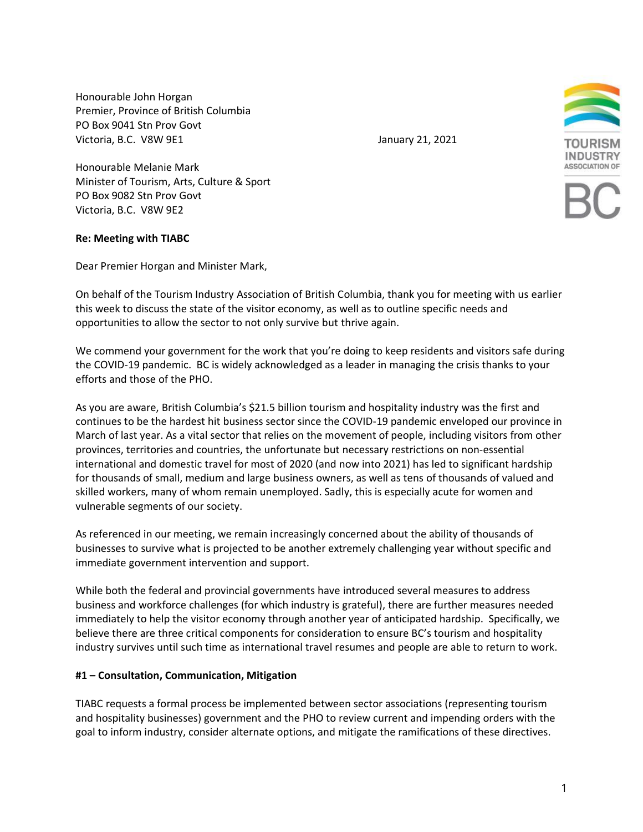Honourable John Horgan Premier, Province of British Columbia PO Box 9041 Stn Prov Govt Victoria, B.C. V8W 9E1 **January 21, 2021** 



Honourable Melanie Mark Minister of Tourism, Arts, Culture & Sport PO Box 9082 Stn Prov Govt Victoria, B.C. V8W 9E2

## **Re: Meeting with TIABC**

Dear Premier Horgan and Minister Mark,

On behalf of the Tourism Industry Association of British Columbia, thank you for meeting with us earlier this week to discuss the state of the visitor economy, as well as to outline specific needs and opportunities to allow the sector to not only survive but thrive again.

We commend your government for the work that you're doing to keep residents and visitors safe during the COVID-19 pandemic. BC is widely acknowledged as a leader in managing the crisis thanks to your efforts and those of the PHO.

As you are aware, British Columbia's \$21.5 billion tourism and hospitality industry was the first and continues to be the hardest hit business sector since the COVID-19 pandemic enveloped our province in March of last year. As a vital sector that relies on the movement of people, including visitors from other provinces, territories and countries, the unfortunate but necessary restrictions on non-essential international and domestic travel for most of 2020 (and now into 2021) has led to significant hardship for thousands of small, medium and large business owners, as well as tens of thousands of valued and skilled workers, many of whom remain unemployed. Sadly, this is especially acute for women and vulnerable segments of our society.

As referenced in our meeting, we remain increasingly concerned about the ability of thousands of businesses to survive what is projected to be another extremely challenging year without specific and immediate government intervention and support.

While both the federal and provincial governments have introduced several measures to address business and workforce challenges (for which industry is grateful), there are further measures needed immediately to help the visitor economy through another year of anticipated hardship. Specifically, we believe there are three critical components for consideration to ensure BC's tourism and hospitality industry survives until such time as international travel resumes and people are able to return to work.

## **#1 – Consultation, Communication, Mitigation**

TIABC requests a formal process be implemented between sector associations (representing tourism and hospitality businesses) government and the PHO to review current and impending orders with the goal to inform industry, consider alternate options, and mitigate the ramifications of these directives.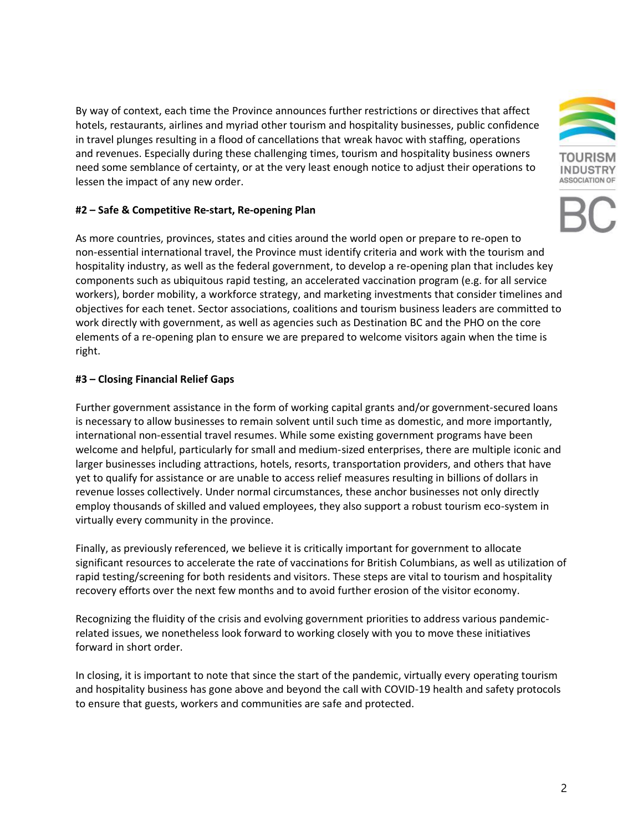By way of context, each time the Province announces further restrictions or directives that affect hotels, restaurants, airlines and myriad other tourism and hospitality businesses, public confidence in travel plunges resulting in a flood of cancellations that wreak havoc with staffing, operations and revenues. Especially during these challenging times, tourism and hospitality business owners need some semblance of certainty, or at the very least enough notice to adjust their operations to lessen the impact of any new order.



As more countries, provinces, states and cities around the world open or prepare to re-open to non-essential international travel, the Province must identify criteria and work with the tourism and hospitality industry, as well as the federal government, to develop a re-opening plan that includes key components such as ubiquitous rapid testing, an accelerated vaccination program (e.g. for all service workers), border mobility, a workforce strategy, and marketing investments that consider timelines and objectives for each tenet. Sector associations, coalitions and tourism business leaders are committed to work directly with government, as well as agencies such as Destination BC and the PHO on the core elements of a re-opening plan to ensure we are prepared to welcome visitors again when the time is right.

## **#3 – Closing Financial Relief Gaps**

Further government assistance in the form of working capital grants and/or government-secured loans is necessary to allow businesses to remain solvent until such time as domestic, and more importantly, international non-essential travel resumes. While some existing government programs have been welcome and helpful, particularly for small and medium-sized enterprises, there are multiple iconic and larger businesses including attractions, hotels, resorts, transportation providers, and others that have yet to qualify for assistance or are unable to access relief measures resulting in billions of dollars in revenue losses collectively. Under normal circumstances, these anchor businesses not only directly employ thousands of skilled and valued employees, they also support a robust tourism eco-system in virtually every community in the province.

Finally, as previously referenced, we believe it is critically important for government to allocate significant resources to accelerate the rate of vaccinations for British Columbians, as well as utilization of rapid testing/screening for both residents and visitors. These steps are vital to tourism and hospitality recovery efforts over the next few months and to avoid further erosion of the visitor economy.

Recognizing the fluidity of the crisis and evolving government priorities to address various pandemicrelated issues, we nonetheless look forward to working closely with you to move these initiatives forward in short order.

In closing, it is important to note that since the start of the pandemic, virtually every operating tourism and hospitality business has gone above and beyond the call with COVID-19 health and safety protocols to ensure that guests, workers and communities are safe and protected.